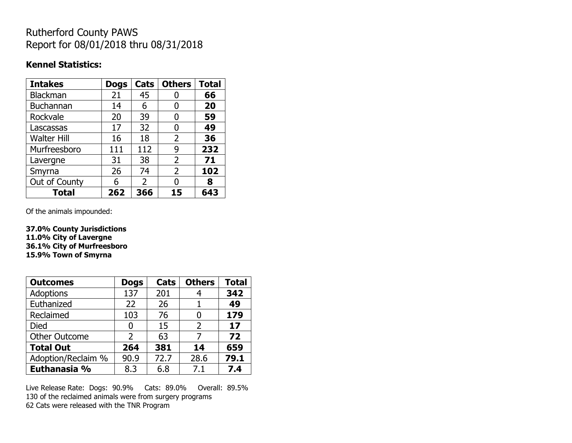## Rutherford County PAWS Report for 08/01/2018 thru 08/31/2018

#### **Kennel Statistics:**

| <b>Intakes</b>     | <b>Dogs</b> | Cats          | <b>Others</b>  | <b>Total</b> |
|--------------------|-------------|---------------|----------------|--------------|
| Blackman           | 21          | 45            |                | 66           |
| <b>Buchannan</b>   | 14          | 6             | 0              | 20           |
| Rockvale           | 20          | 39            | 0              | 59           |
| Lascassas          | 17          | 32            | 0              | 49           |
| <b>Walter Hill</b> | 16          | 18            | $\overline{2}$ | 36           |
| Murfreesboro       | 111         | 112           | 9              | 232          |
| Lavergne           | 31          | 38            | 2              | 71           |
| Smyrna             | 26          | 74            | 2              | 102          |
| Out of County      | 6           | $\mathcal{P}$ | N              | 8            |
| <b>Total</b>       | 262         | 366           | 15             | 643          |

Of the animals impounded:

**37.0% County Jurisdictions 11.0% City of Lavergne 36.1% City of Murfreesboro 15.9% Town of Smyrna**

| <b>Outcomes</b>      | <b>Dogs</b> | Cats | <b>Others</b> | <b>Total</b> |
|----------------------|-------------|------|---------------|--------------|
| <b>Adoptions</b>     | 137         | 201  |               | 342          |
| Euthanized           | 22          | 26   |               | 49           |
| Reclaimed            | 103         | 76   | 0             | 179          |
| Died                 | 0           | 15   | $\mathcal{P}$ | 17           |
| <b>Other Outcome</b> | 2           | 63   | 7             | 72           |
| <b>Total Out</b>     | 264         | 381  | 14            | 659          |
| Adoption/Reclaim %   | 90.9        | 72.7 | 28.6          | 79.1         |
| Euthanasia %         | 8.3         | 6.8  | 7.1           | 7.4          |

Live Release Rate: Dogs: 90.9% Cats: 89.0% Overall: 89.5% 130 of the reclaimed animals were from surgery programs 62 Cats were released with the TNR Program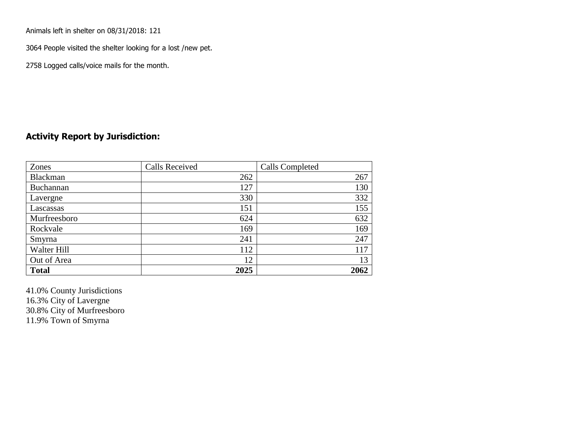Animals left in shelter on 08/31/2018: 121

3064 People visited the shelter looking for a lost /new pet.

2758 Logged calls/voice mails for the month.

### **Activity Report by Jurisdiction:**

| Zones           | <b>Calls Received</b> | Calls Completed |
|-----------------|-----------------------|-----------------|
| <b>Blackman</b> | 262                   | 267             |
| Buchannan       | 127                   | 130             |
| Lavergne        | 330                   | 332             |
| Lascassas       | 151                   | 155             |
| Murfreesboro    | 624                   | 632             |
| Rockvale        | 169                   | 169             |
| Smyrna          | 241                   | 247             |
| Walter Hill     | 112                   | 117             |
| Out of Area     | 12                    | 13              |
| <b>Total</b>    | 2025                  | 2062            |

41.0% County Jurisdictions 16.3% City of Lavergne 30.8% City of Murfreesboro 11.9% Town of Smyrna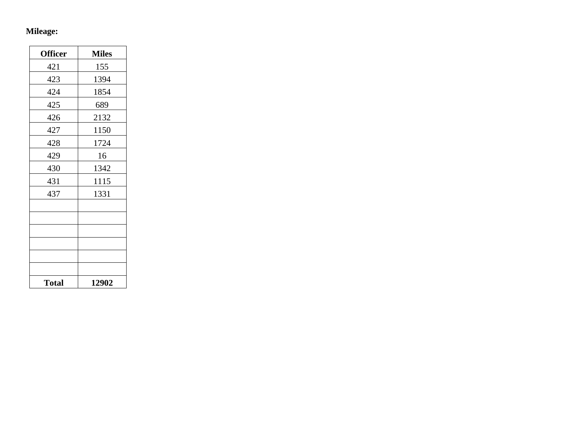# **Mileage:**

| <b>Officer</b> | <b>Miles</b> |
|----------------|--------------|
| 421            | 155          |
| 423            | 1394         |
| 424            | 1854         |
| 425            | 689          |
| 426            | 2132         |
| 427            | 1150         |
| 428            | 1724         |
| 429            | 16           |
| 430            | 1342         |
| 431            | 1115         |
| 437            | 1331         |
|                |              |
|                |              |
|                |              |
|                |              |
|                |              |
|                |              |
| <b>Total</b>   | 12902        |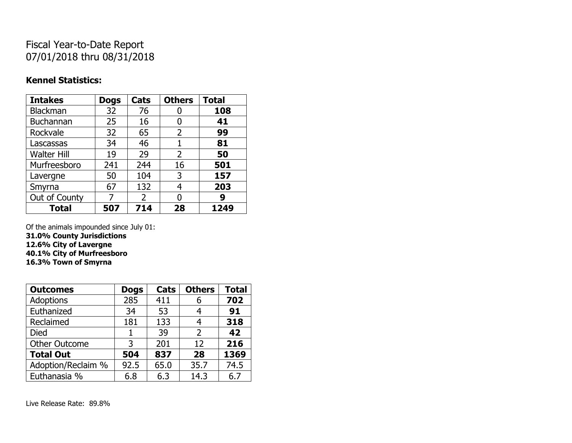## Fiscal Year-to-Date Report 07/01/2018 thru 08/31/2018

### **Kennel Statistics:**

| <b>Intakes</b>     | <b>Dogs</b> | Cats | <b>Others</b> | <b>Total</b> |
|--------------------|-------------|------|---------------|--------------|
| Blackman           | 32          | 76   | U             | 108          |
| <b>Buchannan</b>   | 25          | 16   | O             | 41           |
| Rockvale           | 32          | 65   | 2             | 99           |
| Lascassas          | 34          | 46   | 1             | 81           |
| <b>Walter Hill</b> | 19          | 29   | 2             | 50           |
| Murfreesboro       | 241         | 244  | 16            | 501          |
| Lavergne           | 50          | 104  | 3             | 157          |
| Smyrna             | 67          | 132  | 4             | 203          |
| Out of County      |             | 2    | 0             | 9            |
| <b>Total</b>       | 507         | 714  | 28            | 1249         |

Of the animals impounded since July 01:

**31.0% County Jurisdictions**

**12.6% City of Lavergne**

**40.1% City of Murfreesboro**

**16.3% Town of Smyrna**

| <b>Outcomes</b>      | <b>Dogs</b> | Cats | <b>Others</b> | <b>Total</b> |
|----------------------|-------------|------|---------------|--------------|
| <b>Adoptions</b>     | 285         | 411  | 6             | 702          |
| Euthanized           | 34          | 53   |               | 91           |
| Reclaimed            | 181         | 133  | 4             | 318          |
| Died                 |             | 39   | 2             | 42           |
| <b>Other Outcome</b> | 3           | 201  | 12            | 216          |
| <b>Total Out</b>     | 504         | 837  | 28            | 1369         |
| Adoption/Reclaim %   | 92.5        | 65.0 | 35.7          | 74.5         |
| Euthanasia %         | 6.8         | 6.3  | 14.3          | 6.7          |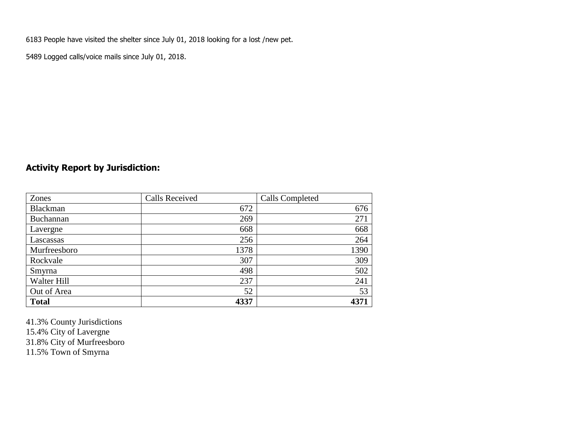6183 People have visited the shelter since July 01, 2018 looking for a lost /new pet.

5489 Logged calls/voice mails since July 01, 2018.

### **Activity Report by Jurisdiction:**

| Zones        | <b>Calls Received</b> | <b>Calls Completed</b> |
|--------------|-----------------------|------------------------|
| Blackman     | 672                   | 676                    |
| Buchannan    | 269                   | 271                    |
| Lavergne     | 668                   | 668                    |
| Lascassas    | 256                   | 264                    |
| Murfreesboro | 1378                  | 1390                   |
| Rockvale     | 307                   | 309                    |
| Smyrna       | 498                   | 502                    |
| Walter Hill  | 237                   | 241                    |
| Out of Area  | 52                    | 53                     |
| <b>Total</b> | 4337                  | 4371                   |

41.3% County Jurisdictions 15.4% City of Lavergne 31.8% City of Murfreesboro

11.5% Town of Smyrna